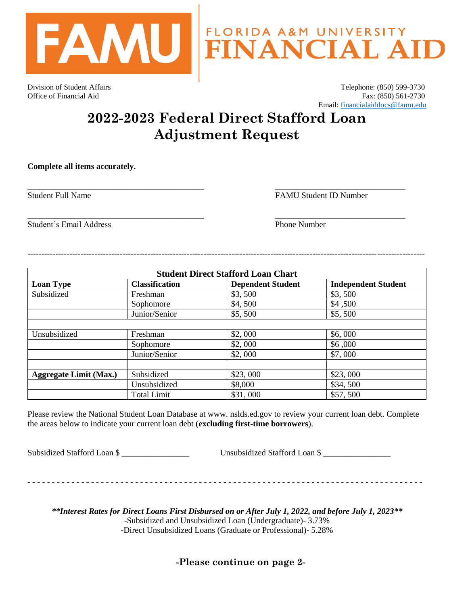

Division of Student Affairs Telephone: (850) 599-3730 Office of Financial Aid Fax: (850) 561-2730 Email: [financialaiddocs@famu.edu](mailto:financialaiddocs@famu.edu)

## **2022-2023 Federal Direct Stafford Loan Adjustment Request**

\_\_\_\_\_\_\_\_\_\_\_\_\_\_\_\_\_\_\_\_\_\_\_\_\_\_\_\_\_\_\_\_\_\_\_\_\_\_\_\_\_\_ \_\_\_\_\_\_\_\_\_\_\_\_\_\_\_\_\_\_\_\_\_\_\_\_\_\_\_\_\_\_\_

\_\_\_\_\_\_\_\_\_\_\_\_\_\_\_\_\_\_\_\_\_\_\_\_\_\_\_\_\_\_\_\_\_\_\_\_\_\_\_\_\_\_ \_\_\_\_\_\_\_\_\_\_\_\_\_\_\_\_\_\_\_\_\_\_\_\_\_\_\_\_\_\_\_

**Complete all items accurately.** 

Student Full Name **FAMU** Student ID Number

Student's Email Address **Phone Number** Phone Number

| <b>Student Direct Stafford Loan Chart</b> |                       |                          |                            |  |
|-------------------------------------------|-----------------------|--------------------------|----------------------------|--|
| <b>Loan Type</b>                          | <b>Classification</b> | <b>Dependent Student</b> | <b>Independent Student</b> |  |
| Subsidized                                | Freshman              | \$3,500                  | \$3,500                    |  |
|                                           | Sophomore             | \$4,500                  | \$4,500                    |  |
|                                           | Junior/Senior         | \$5,500                  | \$5,500                    |  |
|                                           |                       |                          |                            |  |
| Unsubsidized                              | Freshman              | \$2,000                  | \$6,000                    |  |
|                                           | Sophomore             | \$2,000                  | \$6,000                    |  |
|                                           | Junior/Senior         | \$2,000                  | \$7,000                    |  |
|                                           |                       |                          |                            |  |
| <b>Aggregate Limit (Max.)</b>             | Subsidized            | \$23,000                 | \$23,000                   |  |
|                                           | Unsubsidized          | \$8,000                  | \$34,500                   |  |
|                                           | <b>Total Limit</b>    | \$31,000                 | \$57,500                   |  |

----------------------------------------------------------------------------------------------------------------------------------------------

Please review the National Student Loan Database at www. nslds.ed.gov to review your current loan debt. Complete the areas below to indicate your current loan debt (**excluding first-time borrowers**).

Subsidized Stafford Loan \$

- - - - - - - - - - - - - - - - - - - - - - - - - - - - - - - - - - - - - - - - - - - - - - - - - - - - - - - - - - - - - - - - - - - - - - - - - - - - - - - - -

*\*\*Interest Rates for Direct Loans First Disbursed on or After July 1, 2022, and before July 1, 2023\*\** -Subsidized and Unsubsidized Loan (Undergraduate)- 3.73% -Direct Unsubsidized Loans (Graduate or Professional)- 5.28%

**-Please continue on page 2-**